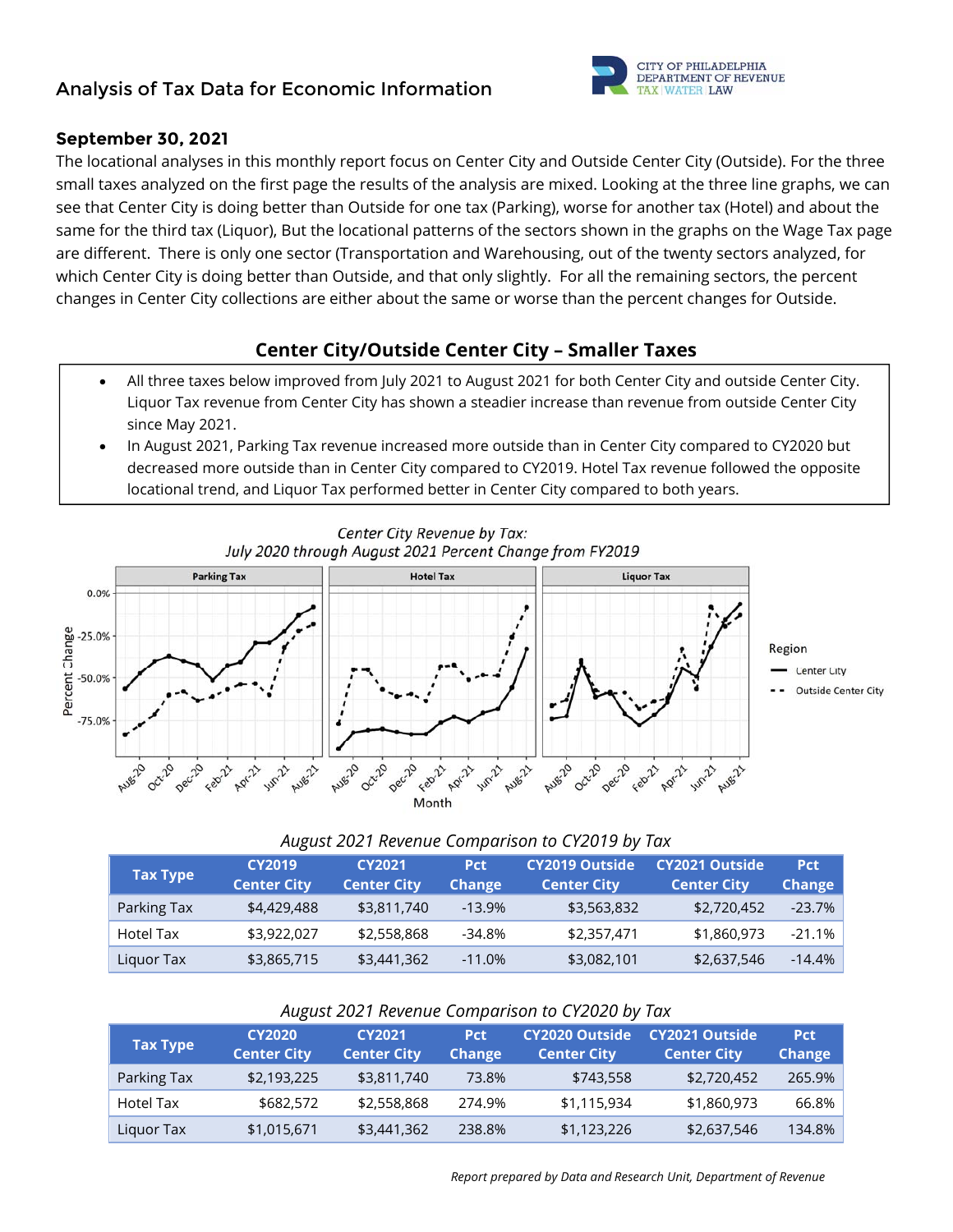# **Analysis of Tax Data for Economic Information**



### **September 30, 2021**

The locational analyses in this monthly report focus on Center City and Outside Center City (Outside). For the three small taxes analyzed on the first page the results of the analysis are mixed. Looking at the three line graphs, we can see that Center City is doing better than Outside for one tax (Parking), worse for another tax (Hotel) and about the same for the third tax (Liquor), But the locational patterns of the sectors shown in the graphs on the Wage Tax page are different. There is only one sector (Transportation and Warehousing, out of the twenty sectors analyzed, for which Center City is doing better than Outside, and that only slightly. For all the remaining sectors, the percent changes in Center City collections are either about the same or worse than the percent changes for Outside.

# **Center City/Outside Center City – Smaller Taxes**

- All three taxes below improved from July 2021 to August 2021 for both Center City and outside Center City. Liquor Tax revenue from Center City has shown a steadier increase than revenue from outside Center City since May 2021.
- In August 2021, Parking Tax revenue increased more outside than in Center City compared to CY2020 but decreased more outside than in Center City compared to CY2019. Hotel Tax revenue followed the opposite locational trend, and Liquor Tax performed better in Center City compared to both years.



#### *August 2021 Revenue Comparison to CY2019 by Tax*  **Tax Type CY2019 CY2021 Pct CY2019 Outside CY2021 Outside**

| Tax Type    | <b>Center City</b> | <b>Center City</b> | <b>Change</b> | <b>Center City</b> | <b>Center City</b> | <b>Change</b> |
|-------------|--------------------|--------------------|---------------|--------------------|--------------------|---------------|
| Parking Tax | \$4,429,488        | \$3,811,740        | $-13.9%$      | \$3,563,832        | \$2,720,452        | $-23.7\%$     |
| Hotel Tax   | \$3,922,027        | \$2,558,868        | -34.8%        | \$2,357,471        | \$1,860,973        | $-21.1%$      |
| Liquor Tax  | \$3,865,715        | \$3,441,362        | $-11.0%$      | \$3,082,101        | \$2,637,546        | $-14.4\%$     |

#### **Tax Type CY2020 Center City CY2021 Center City Pct Change CY2020 Outside Center City CY2021 Outside Center City Pct Change**  Parking Tax  $$2,193,225$   $$3,811,740$  73.8%  $$743,558$   $$2,720,452$  265.9% Hotel Tax \$682,572 \$2,558,868 274.9% \$1,115,934 \$1,860,973 66.8% Liquor Tax \$1,015,671 \$3,441,362 238.8% \$1,123,226 \$2,637,546 134.8%

### *August 2021 Revenue Comparison to CY2020 by Tax*

**Pct**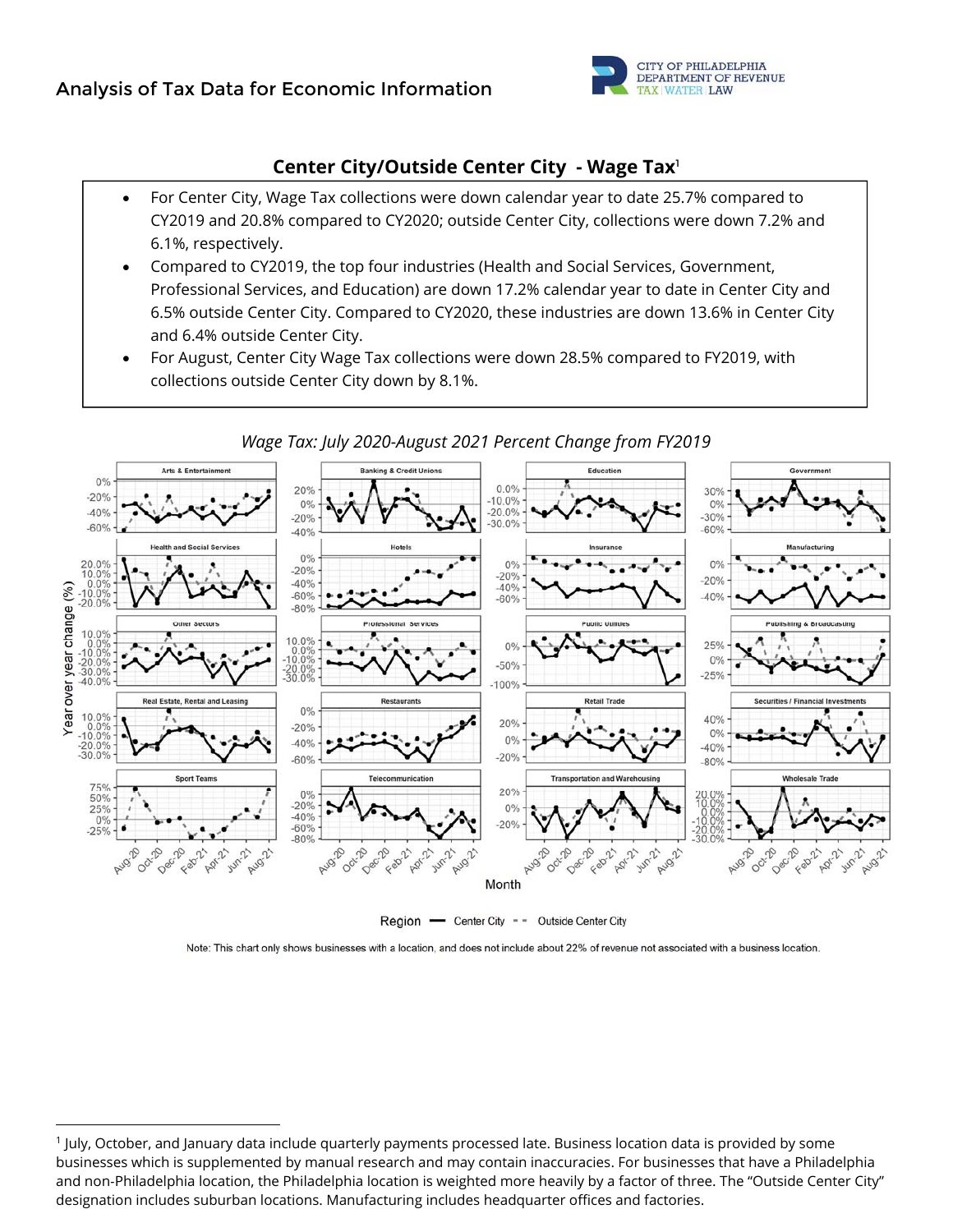

## **Center City/Outside Center City - Wage Tax**<sup>1</sup>

- For Center City, Wage Tax collections were down calendar year to date 25.7% compared to CY2019 and 20.8% compared to CY2020; outside Center City, collections were down 7.2% and 6.1%, respectively.
- Compared to CY2019, the top four industries (Health and Social Services, Government, Professional Services, and Education) are down 17.2% calendar year to date in Center City and 6.5% outside Center City. Compared to CY2020, these industries are down 13.6% in Center City and 6.4% outside Center City.
- For August, Center City Wage Tax collections were down 28.5% compared to FY2019, with collections outside Center City down by 8.1%.



Region - Center City - - Outside Center City

Note: This chart only shows businesses with a location, and does not include about 22% of revenue not associated with a business location.

### *Wage Tax: July 2020-August 2021 Percent Change from FY2019*

<sup>1</sup> July, October, and January data include quarterly payments processed late. Business location data is provided by some businesses which is supplemented by manual research and may contain inaccuracies. For businesses that have a Philadelphia and non-Philadelphia location, the Philadelphia location is weighted more heavily by a factor of three. The "Outside Center City" designation includes suburban locations. Manufacturing includes headquarter offices and factories.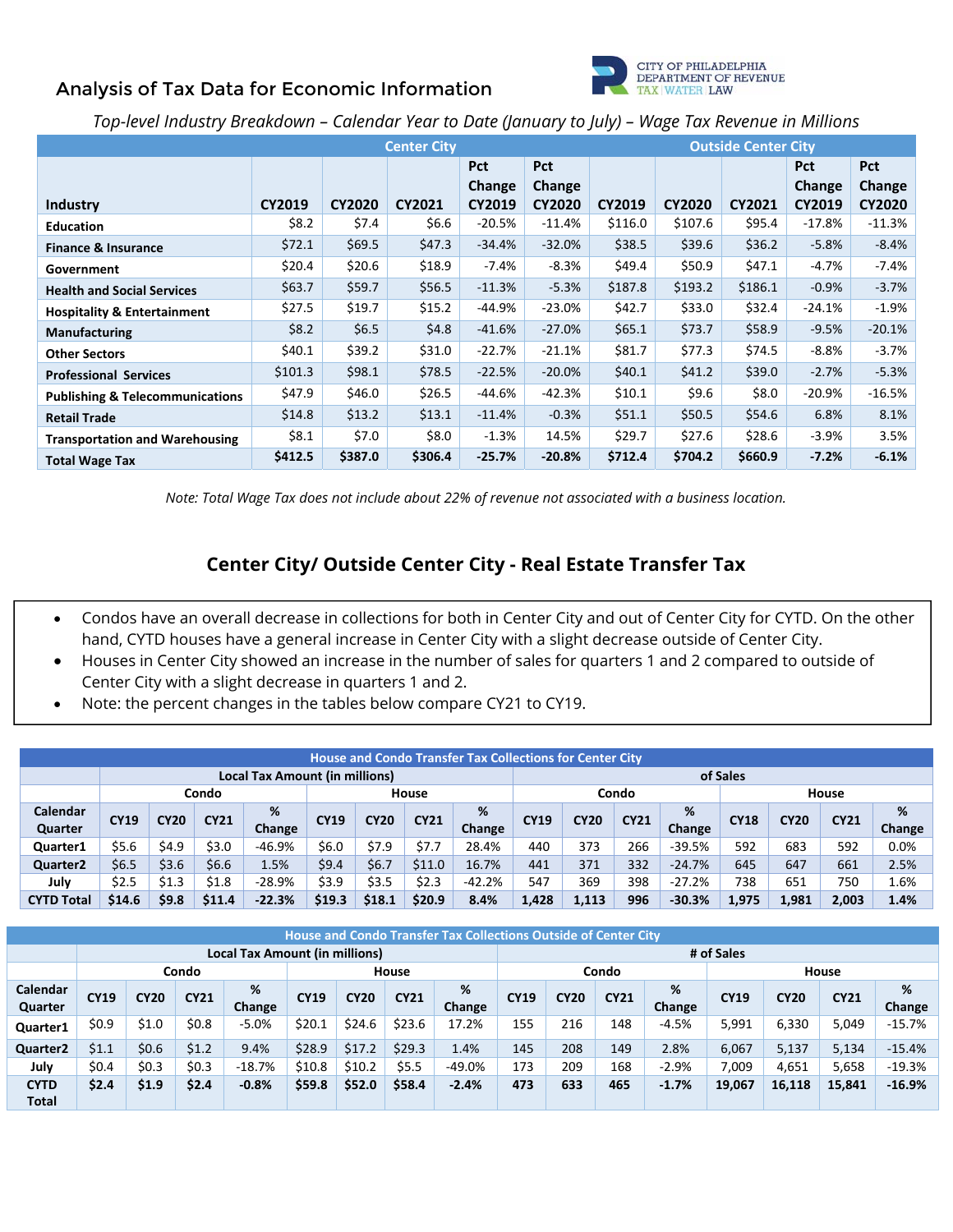# **Analysis of Tax Data for Economic Information**



## *Top-level Industry Breakdown – Calendar Year to Date (January to July) – Wage Tax Revenue in Millions*

|                                            |               |               | <b>Outside Center City</b> |            |               |         |               |               |            |               |
|--------------------------------------------|---------------|---------------|----------------------------|------------|---------------|---------|---------------|---------------|------------|---------------|
|                                            |               |               |                            | <b>Pct</b> | <b>Pct</b>    |         |               |               | <b>Pct</b> | <b>Pct</b>    |
|                                            |               |               |                            | Change     | Change        |         |               |               | Change     | Change        |
| Industry                                   | <b>CY2019</b> | <b>CY2020</b> | <b>CY2021</b>              | CY2019     | <b>CY2020</b> | CY2019  | <b>CY2020</b> | <b>CY2021</b> | CY2019     | <b>CY2020</b> |
| <b>Education</b>                           | \$8.2         | \$7.4         | \$6.6                      | $-20.5%$   | $-11.4%$      | \$116.0 | \$107.6       | \$95.4        | $-17.8\%$  | $-11.3%$      |
| <b>Finance &amp; Insurance</b>             | \$72.1        | \$69.5        | \$47.3                     | $-34.4%$   | $-32.0%$      | \$38.5  | \$39.6        | \$36.2        | $-5.8%$    | $-8.4%$       |
| Government                                 | \$20.4        | \$20.6\$      | \$18.9                     | -7.4%      | $-8.3%$       | \$49.4  | \$50.9        | \$47.1        | $-4.7\%$   | $-7.4%$       |
| <b>Health and Social Services</b>          | \$63.7        | \$59.7        | \$56.5                     | $-11.3%$   | $-5.3%$       | \$187.8 | \$193.2       | \$186.1       | $-0.9%$    | $-3.7%$       |
| <b>Hospitality &amp; Entertainment</b>     | \$27.5        | \$19.7        | \$15.2\$                   | -44.9%     | $-23.0\%$     | \$42.7  | \$33.0        | \$32.4        | $-24.1%$   | $-1.9%$       |
| <b>Manufacturing</b>                       | \$8.2         | \$6.5         | \$4.8\$                    | $-41.6%$   | $-27.0%$      | \$65.1  | \$73.7        | \$58.9        | $-9.5%$    | $-20.1%$      |
| <b>Other Sectors</b>                       | \$40.1        | \$39.2        | \$31.0                     | $-22.7%$   | $-21.1%$      | \$81.7  | \$77.3        | \$74.5        | -8.8%      | $-3.7%$       |
| <b>Professional Services</b>               | \$101.3       | \$98.1        | \$78.5                     | $-22.5%$   | $-20.0%$      | \$40.1  | \$41.2\$      | \$39.0        | $-2.7%$    | $-5.3%$       |
| <b>Publishing &amp; Telecommunications</b> | \$47.9        | \$46.0        | \$26.5                     | -44.6%     | $-42.3%$      | \$10.1  | \$9.6         | \$8.0         | $-20.9%$   | $-16.5%$      |
| <b>Retail Trade</b>                        | \$14.8        | \$13.2        | \$13.1                     | $-11.4%$   | $-0.3%$       | \$51.1  | \$50.5        | \$54.6        | 6.8%       | 8.1%          |
| <b>Transportation and Warehousing</b>      | \$8.1         | \$7.0         | \$8.0                      | $-1.3%$    | 14.5%         | \$29.7  | \$27.6        | \$28.6        | $-3.9%$    | 3.5%          |
| <b>Total Wage Tax</b>                      | \$412.5       | \$387.0       | \$306.4                    | $-25.7%$   | $-20.8%$      | \$712.4 | \$704.2       | \$660.9       | $-7.2%$    | $-6.1%$       |

*Note: Total Wage Tax does not include about 22% of revenue not associated with a business location.* 

# **Center City/ Outside Center City - Real Estate Transfer Tax**

- Condos have an overall decrease in collections for both in Center City and out of Center City for CYTD. On the other hand, CYTD houses have a general increase in Center City with a slight decrease outside of Center City.
- Houses in Center City showed an increase in the number of sales for quarters 1 and 2 compared to outside of Center City with a slight decrease in quarters 1 and 2.
- Note: the percent changes in the tables below compare CY21 to CY19.

|                                       | <b>House and Condo Transfer Tax Collections for Center City</b> |             |             |          |             |                |             |        |             |       |             |          |             |             |             |         |
|---------------------------------------|-----------------------------------------------------------------|-------------|-------------|----------|-------------|----------------|-------------|--------|-------------|-------|-------------|----------|-------------|-------------|-------------|---------|
| <b>Local Tax Amount (in millions)</b> |                                                                 |             |             |          |             |                |             |        | of Sales    |       |             |          |             |             |             |         |
|                                       | Condo<br>House                                                  |             |             |          |             | Condo<br>House |             |        |             |       |             |          |             |             |             |         |
| Calendar                              |                                                                 |             |             | %        |             |                |             | %      |             |       |             | %        |             |             |             | %       |
| Quarter                               | <b>CY19</b>                                                     | <b>CY20</b> | <b>CY21</b> | Change   | <b>CY19</b> | <b>CY20</b>    | <b>CY21</b> | Change | <b>CY19</b> | CY20  | <b>CY21</b> | Change   | <b>CY18</b> | <b>CY20</b> | <b>CY21</b> | Change  |
| Quarter1                              | \$5.6                                                           | \$4.9       | \$3.0       | -46.9%   | \$6.0       | \$7.9          | \$7.7       | 28.4%  | 440         | 373   | 266         | $-39.5%$ | 592         | 683         | 592         | $0.0\%$ |
| Quarter <sub>2</sub>                  | \$6.5                                                           | \$3.6       | \$6.6       | 1.5%     | \$9.4       | \$6.7          | \$11.0      | 16.7%  | 441         | 371   | 332         | $-24.7%$ | 645         | 647         | 661         | 2.5%    |
| July                                  | \$2.5                                                           | \$1.3       | \$1.8       | $-28.9%$ | \$3.9       | \$3.5          | \$2.3       | -42.2% | 547         | 369   | 398         | $-27.2%$ | 738         | 651         | 750         | 1.6%    |
| <b>CYTD Total</b>                     | \$14.6                                                          | \$9.8       | \$11.4      | $-22.3%$ | \$19.3      | \$18.1         | \$20.9      | 8.4%   | 1,428       | 1,113 | 996         | $-30.3%$ | 1.975       | 1,981       | 2,003       | 1.4%    |

|                      | <b>House and Condo Transfer Tax Collections Outside of Center City</b> |             |             |                                |             |             |             |         |             |             |             |            |             |             |             |           |
|----------------------|------------------------------------------------------------------------|-------------|-------------|--------------------------------|-------------|-------------|-------------|---------|-------------|-------------|-------------|------------|-------------|-------------|-------------|-----------|
|                      |                                                                        |             |             | Local Tax Amount (in millions) |             |             |             |         |             |             |             | # of Sales |             |             |             |           |
|                      |                                                                        |             | Condo       |                                |             |             | House       |         |             |             | Condo       |            |             |             | House       |           |
| Calendar             | <b>CY19</b>                                                            | <b>CY20</b> | <b>CY21</b> | %                              | <b>CY19</b> | <b>CY20</b> | <b>CY21</b> | %       | <b>CY19</b> | <b>CY20</b> | <b>CY21</b> | %          | <b>CY19</b> | <b>CY20</b> | <b>CY21</b> | %         |
| Quarter              |                                                                        |             |             | Change                         |             |             |             | Change  |             |             |             | Change     |             |             |             | Change    |
| Quarter1             | \$0.9                                                                  | \$1.0       | \$0.8       | $-5.0%$                        | \$20.1      | \$24.6      | \$23.6      | 17.2%   | 155         | 216         | 148         | $-4.5%$    | 5,991       | 6,330       | 5,049       | $-15.7\%$ |
| Quarter <sub>2</sub> | \$1.1                                                                  | \$0.6       | \$1.2       | 9.4%                           | \$28.9      | \$17.2      | \$29.3      | 1.4%    | 145         | 208         | 149         | 2.8%       | 6,067       | 5,137       | 5,134       | $-15.4%$  |
| July                 | \$0.4                                                                  | \$0.3       | \$0.3       | $-18.7%$                       | \$10.8      | \$10.2\$    | \$5.5       | -49.0%  | 173         | 209         | 168         | $-2.9%$    | 7,009       | 4,651       | 5,658       | $-19.3%$  |
| <b>CYTD</b>          | \$2.4                                                                  | \$1.9       | \$2.4       | $-0.8%$                        | \$59.8      | \$52.0      | \$58.4      | $-2.4%$ | 473         | 633         | 465         | $-1.7%$    | 19,067      | 16,118      | 15,841      | $-16.9%$  |
| <b>Total</b>         |                                                                        |             |             |                                |             |             |             |         |             |             |             |            |             |             |             |           |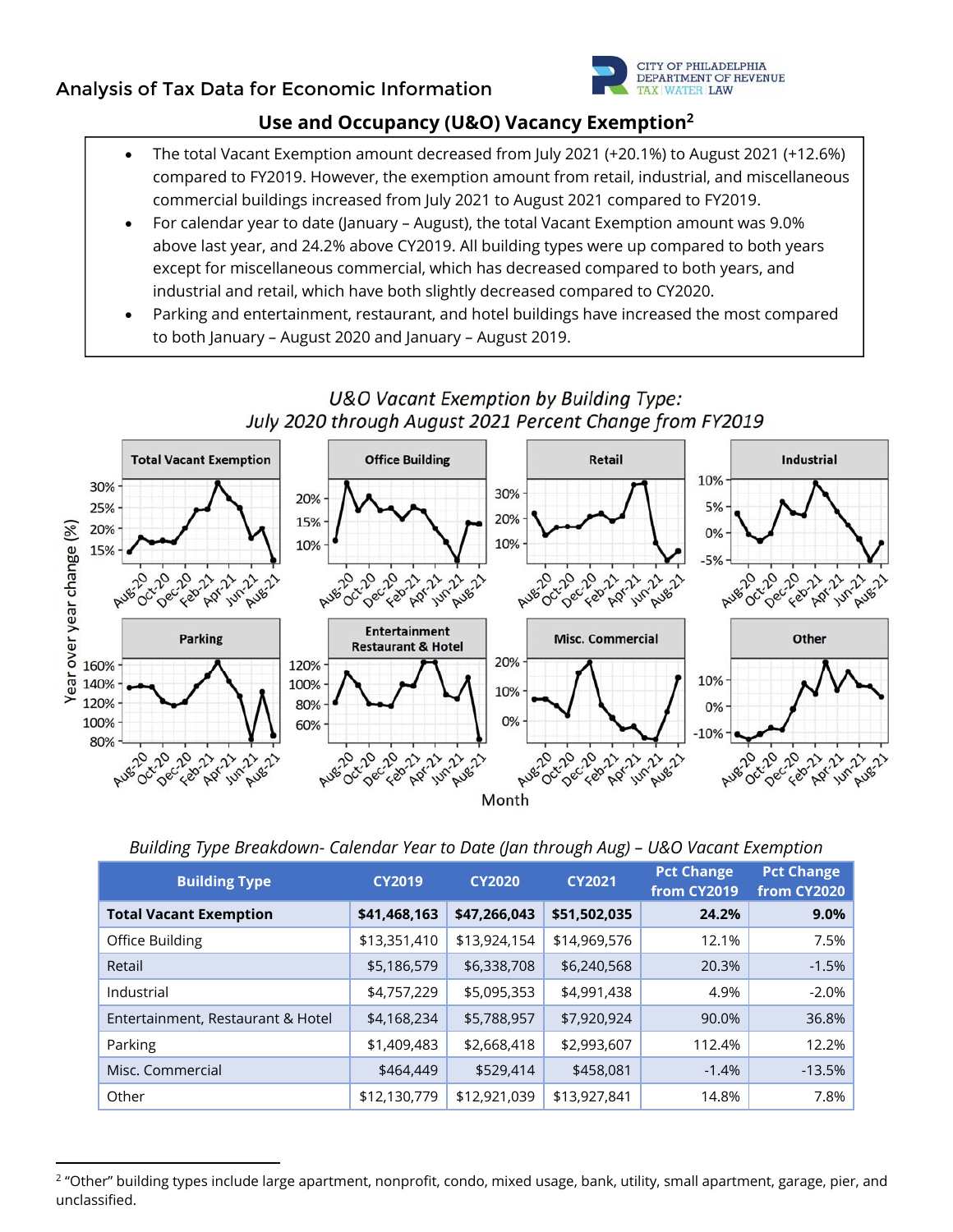# **Analysis of Tax Data for Economic Information**



# **Use and Occupancy (U&O) Vacancy Exemption2**

- The total Vacant Exemption amount decreased from July 2021 (+20.1%) to August 2021 (+12.6%) compared to FY2019. However, the exemption amount from retail, industrial, and miscellaneous commercial buildings increased from July 2021 to August 2021 compared to FY2019.
- For calendar year to date (January August), the total Vacant Exemption amount was 9.0% above last year, and 24.2% above CY2019. All building types were up compared to both years except for miscellaneous commercial, which has decreased compared to both years, and industrial and retail, which have both slightly decreased compared to CY2020.
- Parking and entertainment, restaurant, and hotel buildings have increased the most compared to both January – August 2020 and January – August 2019.



| Building Type Breakdown- Calendar Year to Date (Jan through Aug) - U&O Vacant Exemption |  |  |  |  |
|-----------------------------------------------------------------------------------------|--|--|--|--|
|-----------------------------------------------------------------------------------------|--|--|--|--|

| <b>Building Type</b>              | <b>CY2019</b> | <b>CY2020</b> | <b>CY2021</b> | <b>Pct Change</b><br>from CY2019 | <b>Pct Change</b><br>from CY2020 |
|-----------------------------------|---------------|---------------|---------------|----------------------------------|----------------------------------|
| <b>Total Vacant Exemption</b>     | \$41,468,163  | \$47,266,043  | \$51,502,035  | 24.2%                            | 9.0%                             |
| Office Building                   | \$13,351,410  | \$13,924,154  | \$14,969,576  | 12.1%                            | 7.5%                             |
| Retail                            | \$5,186,579   | \$6,338,708   | \$6,240,568   | 20.3%                            | $-1.5%$                          |
| Industrial                        | \$4,757,229   | \$5,095,353   | \$4,991,438   | 4.9%                             | $-2.0%$                          |
| Entertainment, Restaurant & Hotel | \$4,168,234   | \$5,788,957   | \$7,920,924   | 90.0%                            | 36.8%                            |
| Parking                           | \$1,409,483   | \$2,668,418   | \$2,993,607   | 112.4%                           | 12.2%                            |
| Misc. Commercial                  | \$464,449     | \$529,414     | \$458,081     | $-1.4%$                          | $-13.5%$                         |
| Other                             | \$12,130,779  | \$12,921,039  | \$13,927,841  | 14.8%                            | 7.8%                             |

<sup>&</sup>lt;sup>2</sup> "Other" building types include large apartment, nonprofit, condo, mixed usage, bank, utility, small apartment, garage, pier, and unclassified.